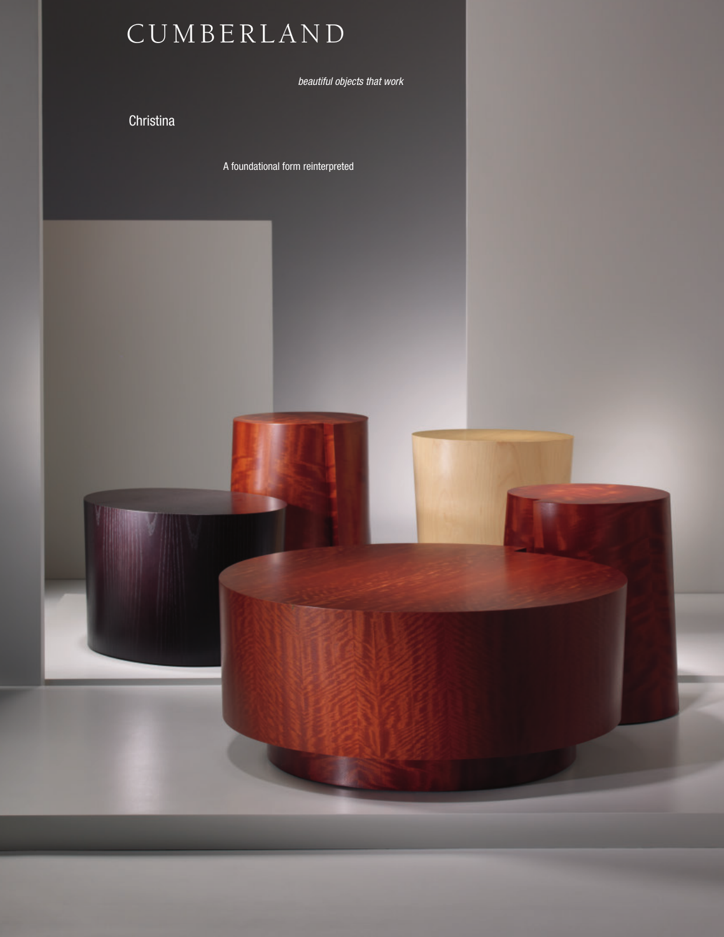# C U M B E R L A N D

*beautiful objects that work*

Christina

A foundational form reinterpreted